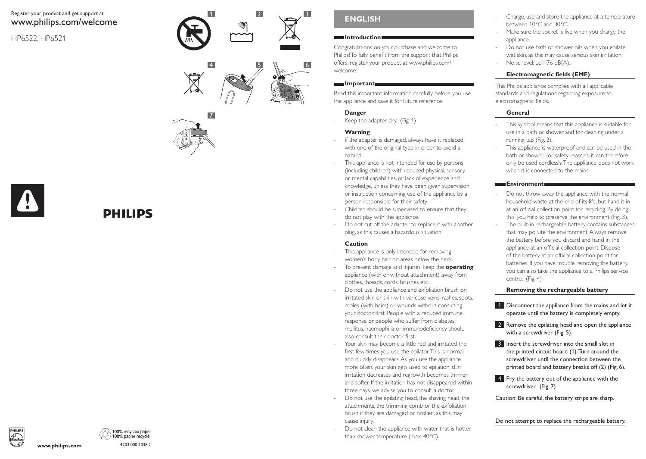# Register your product and get support at www.philips.com/welcome

HP6522, HP6521







# DHIIIDS

# **English**

#### **Introduction**

3

Congratulations on your purchase and welcome to Philips! To fully benefit from the support that Philips offers, register your product at www.philips.com/ welcome.

#### **Important**

Read this important information carefully before you use the appliance and save it for future reference.

# **Danger**

Keep the adapter dry. (Fig. 1)

### **Warning**

- If the adapter is damaged, always have it replaced with one of the original type in order to avoid a hazard.
- This appliance is not intended for use by persons (including children) with reduced physical, sensory or mental capabilities, or lack of experience and knowledge, unless they have been given supervision or instruction concerning use of the appliance by a person responsible for their safety.
- Children should be supervised to ensure that they do not play with the appliance.
- Do not cut off the adapter to replace it with another plug, as this causes a hazardous situation.

# **Caution**

- This appliance is only intended for removing women's body hair on areas below the neck.
- To prevent damage and injuries, keep the **operating** appliance (with or without attachment) away from clothes, threads, cords, brushes etc.
- Do not use the appliance and exfoliation brush on irritated skin or skin with varicose veins, rashes, spots, moles (with hairs) or wounds without consulting your doctor first. People with a reduced immune response or people who suffer from diabetes mellitus, haemophilia or immunodeficiency should also consult their doctor first.
- Your skin may become a little red and irritated the first few times you use the epilator. This is normal and quickly disappears. As you use the appliance more often, your skin gets used to epilation, skin irritation decreases and regrowth becomes thinner and softer. If the irritation has not disappeared within three days, we advise you to consult a doctor.
- Do not use the epilating head, the shaving head, the attachments, the trimming comb or the exfoliation brush if they are damaged or broken, as this may cause injury.
- Do not clean the appliance with water that is hotter than shower temperature (max. 40°C).
- Charge, use and store the appliance at a temperature between 10°C and 30°C.
- Make sure the socket is live when you charge the appliance.
- Do not use bath or shower oils when you epilate wet skin, as this may cause serious skin irritation.
- Noise level: Lc= 76 dB(A).

# **Electromagnetic fields (EMF)**

This Philips appliance complies with all applicable standards and regulations regarding exposure to electromagnetic fields.

# **General**

- This symbol means that this appliance is suitable for use in a bath or shower and for cleaning under a running tap (Fig. 2).
- This appliance is waterproof and can be used in the bath or shower. For safety reasons, it can therefore only be used cordlessly. The appliance does not work when it is connected to the mains.

# **Environment**

- Do not throw away the appliance with the normal household waste at the end of its life, but hand it in at an official collection point for recycling. By doing this, you help to preserve the environment (Fig. 3).
- The built-in rechargeable battery contains substances that may pollute the environment. Always remove the battery before you discard and hand in the appliance at an official collection point. Dispose of the battery at an official collection point for batteries. If you have trouble removing the battery, you can also take the appliance to a Philips service centre. (Fig. 4)

# **Removing the rechargeable battery**

- 1 Disconnect the appliance from the mains and let it operate until the battery is completely empty.
- 2 Remove the epilating head and open the appliance with a screwdriver (Fig. 5).
- **3** Insert the screwdriver into the small slot in the printed circuit board (1). Turn around the screwdriver until the connection between the printed board and battery breaks off (2) (Fig. 6).
- **4** Pry the battery out of the appliance with the screwdriver. (Fig. 7)

Caution: Be careful, the battery strips are sharp.

Do not attempt to replace the rechargeable battery.



www.philips.com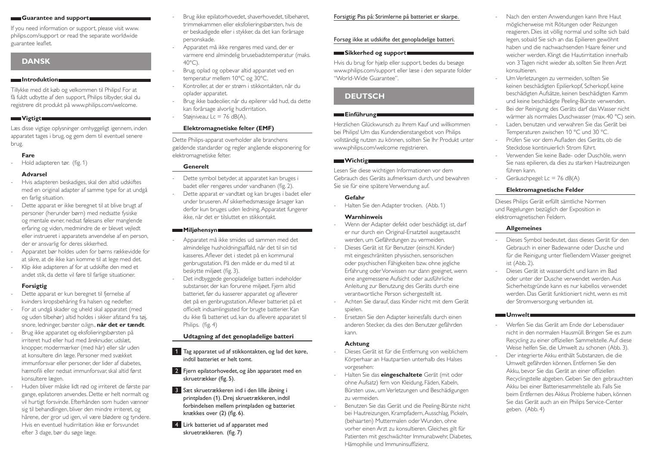#### **Guarantee and support**

If you need information or support, please visit www. philips.com/support or read the separate worldwide guarantee leaflet.

# **Dansk**

#### **Introduktion**

Tillykke med dit køb og velkommen til Philips! For at få fuldt udbytte af den support, Philips tilbyder, skal du registrere dit produkt på www.philips.com/welcome.

#### **Wigtigt**

Læs disse vigtige oplysninger omhyggeligt igennem, inden apparatet tages i brug, og gem dem til eventuel senere brug.

#### **Fare**

Hold adapteren tør. (fig. 1)

#### **Advarsel**

- Hvis adapteren beskadiges, skal den altid udskiftes med en original adapter af samme type for at undgå en farlig situation.
- Dette apparat er ikke beregnet til at blive brugt af personer (herunder børn) med nedsatte fysiske og mentale evner, nedsat følesans eller manglende erfaring og viden, medmindre de er blevet vejledt eller instrueret i apparatets anvendelse af en person, der er ansvarlig for deres sikkerhed.
- Apparatet bør holdes uden for børns rækkevidde for at sikre, at de ikke kan komme til at lege med det.
- Klip ikke adapteren af for at udskifte den med et andet stik, da dette vil føre til farlige situationer.

#### **Forsigtig**

- Dette apparat er kun beregnet til fjernelse af kvinders kropsbehåring fra halsen og nedefter.
- For at undgå skader og uheld skal apparatet (med og uden tilbehør) altid holdes i sikker afstand fra tøj, snore, ledninger, børster o.lign., **når det er tændt**.
- Brug ikke apparatet og eksfolieringsbørsten på irriteret hud eller hud med åreknuder udslæt knopper, modermærker (med hår) eller sår uden at konsultere din læge. Personer med svækket immunforsvar eller personer, der lider af diabetes, hæmofili eller nedsat immunforsvar, skal altid først konsultere lægen.
- Huden bliver måske lidt rød og irriteret de første par gange, epilatoren anvendes. Dette er helt normalt og vil hurtigt forsvinde. Efterhånden som huden vænner sig til behandlingen, bliver den mindre irriteret, og hårene, der gror ud igen, vil være blødere og tyndere. Hvis en eventuel hudirritation ikke er forsvundet efter 3 dage, bør du søge læge.
- Brug ikke epilatorhovedet, shaverhovedet, tilbehøret, trimmekammen eller eksfolieringsbørsten, hvis de er beskadigede eller i stykker, da det kan forårsage personskade.
- Apparatet må ikke rengøres med vand, der er varmere end almindelig brusebadstemperatur (maks.  $40^{\circ}$ C).
- Brug, oplad og opbevar altid apparatet ved en temperatur mellem 10°C og 30°C.
- Kontroller, at der er strøm i stikkontakten, når du oplader apparatet.
- Brug ikke badeolier, når du epilerer våd hud, da dette kan forårsage alvorlig hudirritation.
- Støjniveau: Lc = 76 dB(A).

#### **Elektromagnetiske felter (EMF)**

Dette Philips-apparat overholder alle branchens gældende standarder og regler angående eksponering for elektromagnetiske felter.

#### **Generelt**

- Dette symbol betyder, at apparatet kan bruges i badet eller rengøres under vandhanen (fig. 2).
- Dette apparat er vandtæt og kan bruges i badet eller under bruseren. Af sikkerhedsmæssige årsager kan derfor kun bruges uden ledning. Apparatet fungerer ikke, når det er tilsluttet en stikkontakt.

# **Miljøhensyn**

- Apparatet må ikke smides ud sammen med det almindelige husholdningsaffald, når det til sin tid kasseres. Aflever det i stedet på en kommunal genbrugsstation. På den måde er du med til at beskytte miljøet (fig. 3).
- Det indbyggede genopladelige batteri indeholder substanser, der kan forurene miljøet. Fjern altid batteriet, før du kasserer apparatet og afleverer det på en genbrugsstation. Aflever batteriet på et officielt indsamlingssted for brugte batterier. Kan du ikke få batteriet ud, kan du aflevere apparatet til Philips. (fig. 4)

#### **Udtagning af det genopladelige batteri**

- 1 Tag apparatet ud af stikkontakten, og lad det køre, indtil batteriet er helt tomt.
- 2 Fjern epilatorhovedet, og åbn apparatet med en skruetrækker (fig. 5).
- 3 Sæt skruetrækkeren ind i den lille åbning i printpladen (1). Drej skruetrækkeren, indtil forbindelsen mellem printpladen og batteriet knækkes over (2) (fig. 6).
- 4 Lirk batteriet ud af apparatet med skruetrækkeren.  (fig. 7)

#### Forsigtig: Pas på: Strimlerne på batteriet er skarpe.

### Forsøg ikke at udskifte det genopladelige batteri.

#### **Sikkerhed og support**

Hvis du brug for hjælp eller support, bedes du besøge www.philips.com/support eller læse i den separate folder "World-Wide Guarantee".

# **Deutsch**

#### **Einführung**

Herzlichen Glückwunsch zu Ihrem Kauf und willkommen bei Philips! Um das Kundendienstangebot von Philips vollständig nutzen zu können, sollten Sie Ihr Produkt unter www.philips.com/welcome registrieren.

#### **Wichtig**

Lesen Sie diese wichtigen Informationen vor dem Gebrauch des Geräts aufmerksam durch, und bewahren Sie sie für eine spätere Verwendung auf.

#### **Gefahr**

Halten Sie den Adapter trocken. (Abb. 1)

#### **Warnhinweis**

- Wenn der Adapter defekt oder beschädigt ist, darf er nur durch ein Original-Ersatzteil ausgetauscht werden, um Gefährdungen zu vermeiden.
- Dieses Gerät ist für Benutzer (einschl. Kinder) mit eingeschränkten physischen, sensorischen oder psychischen Fähigkeiten bzw. ohne jegliche Erfahrung oder Vorwissen nur dann geeignet, wenn eine angemessene Aufsicht oder ausführliche Anleitung zur Benutzung des Geräts durch eine verantwortliche Person sichergestellt ist.
- Achten Sie darauf, dass Kinder nicht mit dem Gerät spielen.
- Ersetzen Sie den Adapter keinesfalls durch einen anderen Stecker, da dies den Benutzer gefährden kann.

#### **Achtung**

- Dieses Gerät ist für die Entfernung von weiblichem Körperhaar an Hautpartien unterhalb des Halses vorgesehen:
- Halten Sie das **eingeschaltete** Gerät (mit oder ohne Aufsatz) fern von Kleidung, Fäden, Kabeln, Bürsten usw., um Verletzungen und Beschädigungen zu vermeiden.
- Benutzen Sie das Gerät und die Peeling-Bürste nicht bei Hautreizungen, Krampfadern, Ausschlag, Pickeln, (behaarten) Muttermalen oder Wunden, ohne vorher einen Arzt zu konsultieren. Gleiches gilt für Patienten mit geschwächter Immunabwehr, Diabetes, Hämophilie und Immuninsuffizienz.
- Nach den ersten Anwendungen kann Ihre Haut möglicherweise mit Rötungen oder Reizungen reagieren. Dies ist völlig normal und sollte sich bald legen, sobald Sie sich an das Epilieren gewöhnt haben und die nachwachsenden Haare feiner und weicher werden. Klingt die Hautirritation innerhalb von 3 Tagen nicht wieder ab, sollten Sie Ihren Arzt konsultieren.
- Um Verletzungen zu vermeiden, sollten Sie keinen beschädigten Epilierkopf, Scherkopf, keine beschädigten Aufsätze, keinen beschädigten Kamm und keine beschädigte Peeling-Bürste verwenden.
- Bei der Reinigung des Geräts darf das Wasser nicht wärmer als normales Duschwasser (max. 40 °C) sein.
- Laden, benutzen und verwahren Sie das Gerät bei Temperaturen zwischen 10 °C und 30 °C.
- Prüfen Sie vor dem Aufladen des Geräts, ob die Steckdose kontinuierlich Strom führt.
- Verwenden Sie keine Bade- oder Duschöle, wenn Sie nass epilieren, da dies zu starken Hautreizungen führen kann.
- Geräuschpegel: Lc =  $76$  dB(A)

#### **Elektromagnetische Felder**

Dieses Philips Gerät erfüllt sämtliche Normen und Regelungen bezüglich der Exposition in elektromagnetischen Feldern.

### **Allgemeines**

- Dieses Symbol bedeutet, dass dieses Gerät für den Gebrauch in einer Badewanne oder Dusche und für die Reinigung unter fließendem Wasser geeignet ist (Abb. 2).
- Dieses Gerät ist wasserdicht und kann im Bad oder unter der Dusche verwendet werden. Aus Sicherheitsgründe kann es nur kabellos verwendet werden. Das Gerät funktioniert nicht, wenn es mit der Stromversorgung verbunden ist.

#### **Umwelt**

- Werfen Sie das Gerät am Ende der Lebensdauer nicht in den normalen Hausmüll. Bringen Sie es zum Recycling zu einer offiziellen Sammelstelle. Auf diese Weise helfen Sie, die Umwelt zu schonen (Abb. 3).
- Der integrierte Akku enthält Substanzen, die die Umwelt gefährden können. Entfernen Sie den Akku, bevor Sie das Gerät an einer offiziellen Recyclingstelle abgeben. Geben Sie den gebrauchten Akku bei einer Batteriesammelstelle ab. Falls Sie beim Entfernen des Akkus Probleme haben, können Sie das Gerät auch an ein Philips Service-Center geben. (Abb. 4)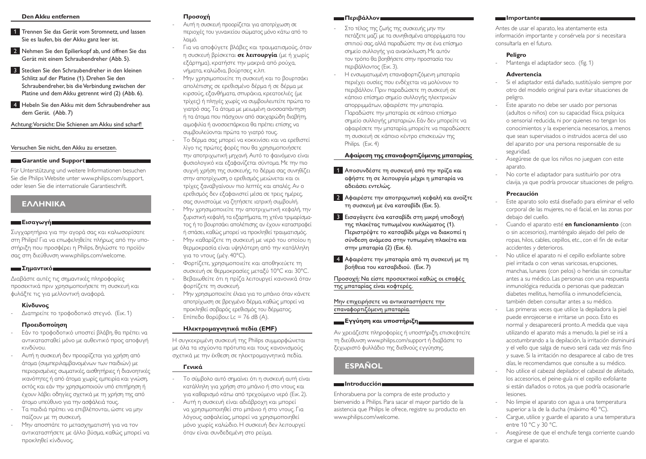#### **Den Akku entfernen**

- 1 Trennen Sie das Gerät vom Stromnetz, und lassen Sie es laufen, bis der Akku ganz leer ist.
- **2** Nehmen Sie den Epilierkopf ab, und öffnen Sie das Gerät mit einem Schraubendreher (Abb. 5).
- **3** Stecken Sie den Schraubendreher in den kleinen Schlitz auf der Platine (1). Drehen Sie den Schraubendreher, bis die Verbindung zwischen der Platine und dem Akku getrennt wird (2) (Abb. 6).
- 4 Hebeln Sie den Akku mit dem Schraubendreher aus dem Gerät. (Abb. 7)

Achtung: Vorsicht: Die Schienen am Akku sind scharf!

### Versuchen Sie nicht, den Akku zu ersetzen.

#### **Garantie und Support**

Für Unterstützung und weitere Informationen besuchen Sie die Philips Website unter www.philips.com/support, oder lesen Sie die internationale Garantieschrift.

# **Ελληνικα**

#### **Εισαγωγή**

Συγχαρητήρια για την αγορά σας και καλωσορίσατε στη Philips! Για να επωφεληθείτε πλήρως από την υποστήριξη που προσφέρει η Philips, δηλώστε το προϊόν σας στη διεύθυνση www.philips.com/welcome.

#### **Σημαντικό**

Διαβάστε αυτές τις σημαντικές πληροφορίες προσεκτικά πριν χρησιμοποιήσετε τη συσκευή και φυλάξτε τις για μελλοντική αναφορά.

#### **Κίνδυνος**

- Διατηρείτε το τροφοδοτικό στεγνό. (Εικ. 1)

#### **Προειδοποίηση**

- Εάν το τροφοδοτικό υποστεί βλάβη, θα πρέπει να αντικατασταθεί μόνο με αυθεντικό προς αποφυγή κινδύνου.
- Αυτή η συσκευή δεν προορίζεται για χρήση από άτομα (συμπεριλαμβανομένων των παιδιών) με περιορισμένες σωματικές, αισθητήριες ή διανοητικές ικανότητες ή από άτομα χωρίς εμπειρία και γνώση, εκτός και εάν την χρησιμοποιούν υπό επιτήρηση ή έχουν λάβει οδηγίες σχετικά με τη χρήση της από άτομο υπεύθυνο για την ασφάλειά τους.
- Τα παιδιά πρέπει να επιβλέπονται, ώστε να μην παίζουν με τη συσκευή.
- Μην αποσπάτε το μετασχηματιστή για να τον αντικαταστήσετε με άλλο βύσμα, καθώς μπορεί να προκληθεί κίνδυνος.

# **Προσοχή**

- Αυτή η συσκευή προορίζεται για αποτρίχωση σε περιοχές του γυναικείου σώματος μόνο κάτω από το λαιμό.
- Για να αποφύγετε βλάβες και τραυματισμούς, όταν η συσκευή βρίσκεται **σε λειτουργία** (με ή χωρίς εξάρτημα), κρατήστε την μακριά από ρούχα, νήματα, καλώδια, βούρτσες κ.λπ.
- Μην χρησιμοποιείτε τη συσκευή και το βουρτσάκι απολέπισης σε ερεθισμένο δέρμα ή σε δέρμα με κιρσούς, εξανθήματα, σπυράκια, κρεατοελιές (με τρίχες) ή πληγές χωρίς να συμβουλευτείτε πρώτα το γιατρό σας. Τα άτομα με μειωμένη ανοσοαπάντηση ή τα άτομα που πάσχουν από σακχαρώδη διαβήτη, αιμοφιλία ή ανοσοεπάρκεια θα πρέπει επίσης να συμβουλεύονται πρώτα το γιατρό τους.
- Το δέρμα σας μπορεί να κοκκινίσει και να ερεθιστεί λίγο τις πρώτες φορές που θα χρησιμοποιήσετε την αποτριχωτική μηχανή. Αυτό το φαινόμενο είναι φυσιολογικό και εξαφανίζεται σύντομα. Με την πιο συχνή χρήση της συσκευής, το δέρμα σας συνηθίζει στην αποτρίχωση, ο ερεθισμός μειώνεται και οι τρίχες ξαναβγαίνουν πιο λεπτές και απαλές. Αν ο ερεθισμός δεν εξαφανιστεί μέσα σε τρεις ημέρες, σας συνιστούμε να ζητήσετε ιατρική συμβουλή.
- Μην χρησιμοποιείτε την αποτριχωτική κεφαλή, την ξυριστική κεφαλή, τα εξαρτήματα, τη χτένα τριμαρίσματος ή το βουρτσάκι απολέπισης αν έχουν καταστραφεί ή σπάσει, καθώς μπορεί να προκληθεί τραυματισμός.
- Μην καθαρίζετε τη συσκευή με νερό του οποίου η θερμοκρασία είναι υψηλότερη από την κατάλληλη για το ντους (μέγ. 40°C).
- Φορτίζετε, χρησιμοποιείτε και αποθηκεύετε τη συσκευή σε θερμοκρασίες μεταξύ 10°C και 30°C.
- Βεβαιωθείτε ότι η πρίζα λειτουργεί κανονικά όταν φορτίζετε τη συσκευή.
- Μην χρησιμοποιείτε έλαια για το μπάνιο όταν κάνετε αποτρίχωση σε βρεγμένο δέρμα, καθώς μπορεί να προκληθεί σοβαρός ερεθισμός του δέρματος. - Επίπεδο θορύβου: Lc = 76 dB (Α).

# **Ηλεκτρομαγνητικά πεδία (EMF)**

Η συγκεκριμένη συσκευή της Philips συμμορφώνεται με όλα τα ισχύοντα πρότυπα και τους κανονισμούς σχετικά με την έκθεση σε ηλεκτρομαγνητικά πεδία.

# **Γενικά**

- Το σύμβολο αυτό σημαίνει ότι η συσκευή αυτή είναι κατάλληλη για χρήση στο μπάνιο ή στο ντους και για καθαρισμό κάτω από τρεχούμενο νερό (Εικ. 2).
- Αυτή η συσκευή είναι αδιάβροχη και μπορεί να χρησιμοποιηθεί στο μπάνιο ή στο ντους. Για λόγους ασφαλείας, μπορεί να χρησιμοποιηθεί μόνο χωρίς καλώδιο. Η συσκευή δεν λειτουργεί όταν είναι συνδεδεμένη στο ρεύμα.

#### **Περιβάλλον**

- Στο τέλος της ζωής της συσκευής μην την πετάξετε μαζί με τα συνηθισμένα απορρίμματα του σπιτιού σας, αλλά παραδώστε την σε ένα επίσημο σημείο συλλογής για ανακύκλωση. Με αυτόν τον τρόπο θα βοηθήσετε στην προστασία του περιβάλλοντος (Εικ. 3).
- Η ενσωματωμένη επαναφορτιζόμενη μπαταρία περιέχει ουσίες που ενδέχεται να μολύνουν το περιβάλλον. Πριν παραδώσετε τη συσκευή σε κάποιο επίσημο σημείο συλλογής ηλεκτρικών απορριμμάτων, αφαιρέστε την μπαταρία. Παραδώστε την μπαταρία σε κάποιο επίσημο σημείο συλλογής μπαταριών. Εάν δεν μπορείτε να αφαιρέσετε την μπαταρία, μπορείτε να παραδώσετε τη συσκευή σε κάποιο κέντρο επισκευών της Philips. (Εικ. 4)

#### **Αφαίρεση της επαναφορτιζόμενης μπαταρίας**

- 1 Αποσυνδέστε τη συσκευή από την πρίζα και αφήστε τη σε λειτουργία μέχρι η μπαταρία να αδειάσει εντελώς.
- 2 Αφαιρέστε την αποτριχωτική κεφαλή και ανοίξτε τη συσκευή με ένα κατσαβίδι (Εικ. 5).
- 3 Εισαγάγετε ένα κατσαβίδι στη μικρή υποδοχή της πλακέτας τυπωμένου κυκλώματος (1). Περιστρέψτε το κατσαβίδι μέχρι να διακοπεί η σύνδεση ανάμεσα στην τυπωμένη πλακέτα και στην μπαταρία (2) (Εικ. 6).
- 4 Αφαιρέστε την μπαταρία από τη συσκευή με τη βοήθεια του κατσαβιδιού.  (Εικ. 7)

Προσοχή: Να είστε προσεκτικοί καθώς οι επαφές της μπαταρίας είναι κοφτερές.

#### Μην επιχειρήσετε να αντικαταστήσετε την επαναφορτιζόμενη μπαταρία.

#### **Εγγύηση και υποστήριξη**

Αν χρειάζεστε πληροφορίες ή υποστήριξη, επισκεφτείτε τη διεύθυνση www.philips.com/support ή διαβάστε το ξεχωριστό φυλλάδιο της διεθνούς εγγύησης.

# **Español**

#### **Introducción**

Enhorabuena por la compra de este producto y bienvenido a Philips. Para sacar el mayor partido de la asistencia que Philips le ofrece, registre su producto en www.philips.com/welcome.

#### **Importante**

Antes de usar el aparato, lea atentamente esta información importante y consérvela por si necesitara consultarla en el futuro.

#### **Peligro**

Mantenga el adaptador seco. (fig. 1)

# **Advertencia**

- Si el adaptador está dañado, sustitúyalo siempre por otro del modelo original para evitar situaciones de peligro.
- Este aparato no debe ser usado por personas (adultos o niños) con su capacidad física, psíquica o sensorial reducida, ni por quienes no tengan los conocimientos y la experiencia necesarios, a menos que sean supervisados o instruidos acerca del uso del aparato por una persona responsable de su seguridad.
- Asegúrese de que los niños no jueguen con este aparato.
- No corte el adaptador para sustituirlo por otra clavija, ya que podría provocar situaciones de peligro.

# **Precaución**

- Este aparato solo está diseñado para eliminar el vello corporal de las mujeres, no el facial, en las zonas por debajo del cuello.
- Cuando el aparato esté **en funcionamiento** (con o sin accesorios), manténgalo alejado del pelo de ropas, hilos, cables, cepillos, etc., con el fin de evitar accidentes y deterioros.
- No utilice el aparato ni el cepillo exfoliante sobre piel irritada o con venas varicosas, erupciones, manchas, lunares (con pelos) o heridas sin consultar antes a su médico. Las personas con una respuesta inmunológica reducida o personas que padezcan diabetes mellitus, hemofilia o inmunodeficiencia, también deben consultar antes a su médico.
- Las primeras veces que utilice la depiladora la piel puede enrojecerse e irritarse un poco. Esto es normal y desaparecerá pronto. A medida que vaya utilizando el aparato más a menudo, la piel se irá a acostumbrando a la depilación, la irritación disminuirá y el vello que salga de nuevo será cada vez más fino y suave. Si la irritación no desaparece al cabo de tres días, le recomendamos que consulte a su médico.
- No utilice el cabezal depilador, el cabezal de afeitado, los accesorios, el peine-guía ni el cepillo exfoliante si están dañados o rotos, ya que podría ocasionarle lesiones.
- No limpie el aparato con agua a una temperatura superior a la de la ducha (máximo 40 °C).
- Cargue, utilice y guarde el aparato a una temperatura entre 10 °C y 30 °C.
- Asegúrese de que el enchufe tenga corriente cuando cargue el aparato.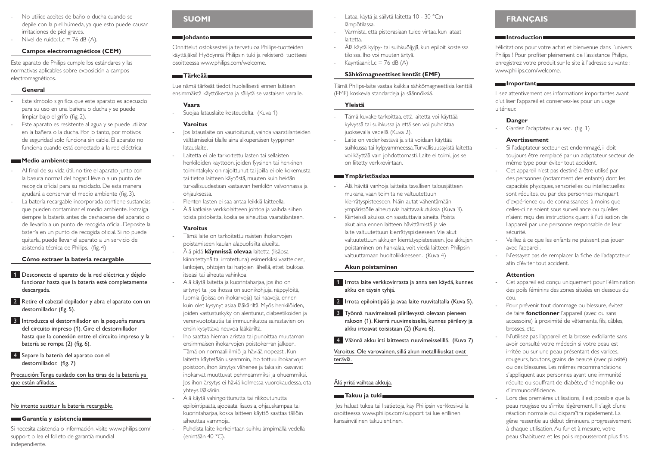- No utilice aceites de baño o ducha cuando se depile con la piel húmeda, ya que esto puede causar irritaciones de piel graves.
- Nivel de ruido:  $Lc = 76$  dB  $(A)$ .

### **Campos electromagnéticos (CEM)**

Este aparato de Philips cumple los estándares y las normativas aplicables sobre exposición a campos electromagnéticos.

#### **General**

- Este símbolo significa que este aparato es adecuado para su uso en una bañera o ducha y se puede limpiar bajo el grifo (fig. 2).
- Este aparato es resistente al agua y se puede utilizar en la bañera o la ducha. Por lo tanto, por motivos de seguridad solo funciona sin cable. El aparato no funciona cuando está conectado a la red eléctrica.

#### **Medio ambiente**

- Al final de su vida útil, no tire el aparato junto con la basura normal del hogar. Llévelo a un punto de recogida oficial para su reciclado. De esta manera ayudará a conservar el medio ambiente (fig. 3).
- La batería recargable incorporada contiene sustancias que pueden contaminar el medio ambiente. Extraiga siempre la batería antes de deshacerse del aparato o de llevarlo a un punto de recogida oficial. Deposite la batería en un punto de recogida oficial. Si no puede quitarla, puede llevar el aparato a un servicio de asistencia técnica de Philips. (fig. 4)

#### **Cómo extraer la batería recargable**

- 1 Desconecte el aparato de la red eléctrica y déjelo funcionar hasta que la batería esté completamente descargada.
- 2 Retire el cabezal depilador y abra el aparato con un destornillador (fig. 5).
- 3 Introduzca el destornillador en la pequeña ranura del circuito impreso (1). Gire el destornillador hasta que la conexión entre el circuito impreso y la batería se rompa (2) (fig. 6).
- 4 Separe la batería del aparato con el destornillador.  (fig. 7)

Precaución: Tenga cuidado con las tiras de la batería ya que están afiladas.

#### No intente sustituir la batería recargable.

#### **Garantía y asistencia**

Si necesita asistencia o información, visite www.philips.com/ support o lea el folleto de garantía mundial independiente.

# **Suomi**

# **Johdanto**

Onnittelut ostoksestasi ja tervetuloa Philips-tuotteiden käyttäjäksi! Hyödynnä Philipsin tuki ja rekisteröi tuotteesi osoitteessa www.philips.com/welcome.

# **Tärkeää**

Lue nämä tärkeät tiedot huolellisesti ennen laitteen ensimmäistä käyttökertaa ja säilytä se vastaisen varalle.

### **Vaara**

- Suojaa latauslaite kosteudelta. (Kuva 1)

### **Varoitus**

- Jos latauslaite on vaurioitunut, vaihda vaaratilanteiden välttämiseksi tilalle aina alkuperäisen tyyppinen latauslaite.
- Laitetta ei ole tarkoitettu lasten tai sellaisten henkilöiden käyttöön, joiden fyysinen tai henkinen toimintakyky on rajoittunut tai joilla ei ole kokemusta tai tietoa laitteen käytöstä, muuten kuin heidän turvallisuudestaan vastaavan henkilön valvonnassa ja ohjauksessa.
- Pienten lasten ei saa antaa leikkiä laitteella.
- Älä katkaise verkkolaitteen johtoa ja vaihda siihen toista pistoketta, koska se aiheuttaa vaaratilanteen.

### **Varoitus**

- Tämä laite on tarkoitettu naisten ihokarvoien poistamiseen kaulan alapuolisilta alueilta.
- Älä pidä **käynnissä olevaa** laitetta (lisäosa kiinnitettynä tai irrotettuna) esimerkiksi vaatteiden, lankojen, johtojen tai harjojen lähellä, ettet loukkaa itseäsi tai aiheuta vahinkoa.
- Älä käytä laitetta ja kuorintaharjaa, jos iho on ärtynyt tai jos ihossa on suonikohjuja, näppylöitä, luomia (joissa on ihokarvoja) tai haavoja, ennen kuin olet kysynyt asiaa lääkäriltä. Myös henkilöiden, joiden vastustuskyky on alentunut, diabeetikoiden ja verenvuototautia tai immuunikatoa sairastavien on ensin kysyttävä neuvoa lääkäriltä.
- Iho saattaa hieman aristaa tai punoittaa muutaman ensimmäisen ihokarvojen poistokerran jälkeen. Tämä on normaali ilmiö ja häviää nopeasti. Kun laitetta käytetään useammin, iho tottuu ihokarvojen poistoon, ihon ärsytys vähenee ja takaisin kasvavat ihokarvat muuttuvat pehmeämmiksi ja ohuemmiksi. Jos ihon ärsytys ei häviä kolmessa vuorokaudessa, ota yhteys lääkäriin.
- Älä käytä vahingoittunutta tai rikkoutunutta epilointipäätä, ajopäätä, lisäosia, ohjauskampaa tai kuorintaharjaa, koska laitteen käyttö saattaa tällöin aiheuttaa vammoja.
	- Puhdista laite korkeintaan suihkulämpimällä vedellä (enintään 40 °C).
- Lataa, käytä ja säilytä laitetta 10 30 °C:n lämpötilassa.
- Varmista, että pistorasiaan tulee virtaa, kun lataat laitetta.
- Älä käytä kylpy- tai suihkuöljyjä, kun epiloit kosteissa tiloissa. Iho voi muuten ärtyä.
- Käyntiääni: Lc = 76 dB (A)

# **Sähkömagneettiset kentät (EMF)**

Tämä Philips-laite vastaa kaikkia sähkömagneettisia kenttiä (EMF) koskevia standardeja ja säännöksiä.

#### **Yleistä**

- Tämä kuvake tarkoittaa, että laitetta voi käyttää kylvyssä tai suihkussa ja että sen voi puhdistaa juoksevalla vedellä (Kuva 2).
- Laite on vedenkestävä ja sitä voidaan käyttää suihkussa tai kylpyammeessa. Turvallisuussyistä laitetta voi käyttää vain johdottomasti. Laite ei toimi, jos se on liitetty verkkovirtaan.

#### **Ympäristöasiaa**

- Älä hävitä vanhoja laitteita tavallisen talousjätteen mukana, vaan toimita ne valtuutettuun kierrätyspisteeseen. Näin autat vähentämään ympäristölle aiheutuvia haittavaikutuksia (Kuva 3).
- Kiinteissä akuissa on saastuttavia aineita. Poista akut aina ennen laitteen hävittämistä ja vie laite valtuutettuun kierrätyspisteeseen. Vie akut valtuutettuun akkujen kierrätyspisteeseen. Jos akkujen poistaminen on hankalaa, voit viedä laitteen Philipsin valtuuttamaan huoltoliikkeeseen. (Kuva 4)

# **Akun poistaminen**

- 1 Irrota laite verkkovirrasta ja anna sen käydä, kunnes akku on täysin tyhjä.
- 2 Irrota epilointipää ja avaa laite ruuvitaltalla (Kuva 5).
- 3 Työnnä ruuvimeisseli piirilevyssä olevaan pieneen rakoon (1). Kierrä ruuvimeisseliä, kunnes piirilevy ja akku irtoavat toisistaan (2) (Kuva 6).
- 4 Väännä akku irti laitteesta ruuvimeisselillä. (Kuva 7)

Varoitus: Ole varovainen, sillä akun metalliliuskat ovat teräviä.

# Älä yritä vaihtaa akkuja.

# **Takuu ja tuki**

 Jos haluat tukea tai lisätietoja, käy Philipsin verkkosivuilla osoitteessa www.philips.com/support tai lue erillinen kansainvälinen takuulehtinen.

# **Français**

#### **Introduction**

Félicitations pour votre achat et bienvenue dans l'univers Philips ! Pour profiter pleinement de l'assistance Philips, enregistrez votre produit sur le site à l'adresse suivante : www.philips.com/welcome.

#### **Important**

Lisez attentivement ces informations importantes avant d'utiliser l'appareil et conservez-les pour un usage ultérieur.

#### **Danger**

Gardez l'adaptateur au sec. (fig. 1)

#### **Avertissement**

- Si l'adaptateur secteur est endommagé, il doit toujours être remplacé par un adaptateur secteur de même type pour éviter tout accident.
- Cet appareil n'est pas destiné à être utilisé par des personnes (notamment des enfants) dont les capacités physiques, sensorielles ou intellectuelles sont réduites, ou par des personnes manquant d'expérience ou de connaissances, à moins que celles-ci ne soient sous surveillance ou qu'elles n'aient reçu des instructions quant à l'utilisation de l'appareil par une personne responsable de leur sécurité.
- Veillez à ce que les enfants ne puissent pas jouer avec l'appareil.
- N'essayez pas de remplacer la fiche de l'adaptateur afin d'éviter tout accident.

#### **Attention**

- Cet appareil est concu uniquement pour l'élimination des poils féminins des zones situées en dessous du cou.
- Pour prévenir tout dommage ou blessure, évitez de faire **fonctionner** l'appareil (avec ou sans accessoire) à proximité de vêtements, fils, câbles, brosses, etc.
- N'utilisez pas l'appareil et la brosse exfoliante sans avoir consulté votre médecin si votre peau est irritée ou sur une peau présentant des varices, rougeurs, boutons, grains de beauté (avec pilosité) ou des blessures. Les mêmes recommandations s'appliquent aux personnes ayant une immunité réduite ou souffrant de diabète, d'hémophilie ou d'immunodéficience.
- Lors des premières utilisations, il est possible que la peau rougisse ou s'irrite légèrement. Il s'agit d'une réaction normale qui disparaîtra rapidement. La gêne ressentie au début diminuera progressivement à chaque utilisation. Au fur et à mesure, votre peau s'habituera et les poils repousseront plus fins.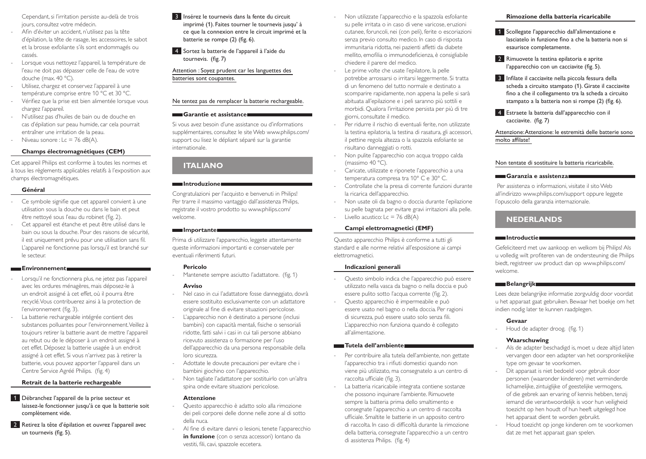Cependant, si l'irritation persiste au-delà de trois jours, consultez votre médecin.

- Afin d'éviter un accident, n'utilisez pas la tête d'épilation, la tête de rasage, les accessoires, le sabot et la brosse exfoliante s'ils sont endommagés ou cassés.
- Lorsque vous nettoyez l'appareil, la température de l'eau ne doit pas dépasser celle de l'eau de votre douche (max. 40 °C).
- Utilisez, chargez et conservez l'appareil à une température comprise entre 10 °C et 30 °C.
- Vérifiez que la prise est bien alimentée lorsque vous chargez l'appareil.
- N'utilisez pas d'huiles de bain ou de douche en cas d'épilation sur peau humide, car cela pourrait entraîner une irritation de la peau.
- Niveau sonore :  $Lc = 76$  dB(A).

#### **Champs électromagnétiques (CEM)**

Cet appareil Philips est conforme à toutes les normes et à tous les règlements applicables relatifs à l'exposition aux champs électromagnétiques.

#### **Général**

- Ce symbole signifie que cet appareil convient à une utilisation sous la douche ou dans le bain et peut être nettoyé sous l'eau du robinet (fig. 2).
- Cet appareil est étanche et peut être utilisé dans le bain ou sous la douche. Pour des raisons de sécurité, il est uniquement prévu pour une utilisation sans fil. L'appareil ne fonctionne pas lorsqu'il est branché sur le secteur.

#### **Environnement**

- Lorsqu'il ne fonctionnera plus, ne jetez pas l'appareil avec les ordures ménagères, mais déposez-le à un endroit assigné à cet effet, où il pourra être recyclé. Vous contribuerez ainsi à la protection de l'environnement (fig. 3).
- La batterie rechargeable intégrée contient des substances polluantes pour l'environnement. Veillez à toujours retirer la batterie avant de mettre l'appareil au rebut ou de le déposer à un endroit assigné à cet effet. Déposez la batterie usagée à un endroit assigné à cet effet. Si vous n'arrivez pas à retirer la batterie, vous pouvez apporter l'appareil dans un Centre Service Agréé Philips. (fig. 4)

#### **Retrait de la batterie rechargeable**

- 1 Débranchez l'appareil de la prise secteur et laissez-le fonctionner jusqu'à ce que la batterie soit complètement vide.
- 2 Retirez la tête d'épilation et ouvrez l'appareil avec un tournevis (fig. 5).
- 3 Insérez le tournevis dans la fente du circuit imprimé (1). Faites tourner le tournevis jusqu' à ce que la connexion entre le circuit imprimé et la batterie se rompe (2) (fig. 6).
- 4 Sortez la batterie de l'appareil à l'aide du tournevis.  (fig. 7)

Attention : Soyez prudent car les languettes des batteries sont coupantes.

#### Ne tentez pas de remplacer la batterie rechargeable.

#### **Garantie et assistance**

Si vous avez besoin d'une assistance ou d'informations supplémentaires, consultez le site Web www.philips.com/ support ou lisez le dépliant séparé sur la garantie internationale.

# **Italiano**

#### **Introduzione**

Congratulazioni per l'acquisto e benvenuti in Philips! Per trarre il massimo vantaggio dall'assistenza Philips, registrate il vostro prodotto su www.philips.com/ welcome.

#### **Importante**

Prima di utilizzare l'apparecchio, leggete attentamente queste informazioni importanti e conservatele per eventuali riferimenti futuri.

#### **Pericolo**

Mantenete sempre asciutto l'adattatore. (fig. 1)

#### **Avviso**

- Nel caso in cui l'adattatore fosse danneggiato, dovrà essere sostituito esclusivamente con un adattatore originale al fine di evitare situazioni pericolose.
- L'apparecchio non è destinato a persone (inclusi bambini) con capacità mentali, fisiche o sensoriali ridotte, fatti salvi i casi in cui tali persone abbiano ricevuto assistenza o formazione per l'uso dell'apparecchio da una persona responsabile della loro sicurezza.
- Adottate le dovute precauzioni per evitare che i bambini giochino con l'apparecchio.
- Non tagliate l'adattatore per sostituirlo con un'altra spina onde evitare situazioni pericolose.

#### **Attenzione**

- Questo apparecchio è adatto solo alla rimozione dei peli corporei delle donne nelle zone al di sotto della nuca.
- Al fine di evitare danni o lesioni, tenete l'apparecchio **in funzione** (con o senza accessori) lontano da vestiti, fili, cavi, spazzole eccetera.
- Non utilizzate l'apparecchio e la spazzola esfoliante su pelle irritata o in caso di vene varicose, eruzioni cutanee, foruncoli, nei (con peli), ferite o escoriazioni senza previo consulto medico. In caso di risposta immunitaria ridotta, nei pazienti affetti da diabete mellito, emofilia o immunodeficienza, è consigliabile chiedere il parere del medico.
- Le prime volte che usate l'epilatore, la pelle potrebbe arrossarsi o irritarsi leggermente. Si tratta di un fenomeno del tutto normale e destinato a scomparire rapidamente, non appena la pelle si sarà abituata all'epilazione e i peli saranno più sottili e morbidi. Qualora l'irritazione persista per più di tre giorni, consultate il medico.
- Per ridurre il rischio di eventuali ferite, non utilizzate la testina epilatoria, la testina di rasatura, gli accessori, il pettine regola altezza o la spazzola esfoliante se risultano danneggiati o rotti.
- Non pulite l'apparecchio con acqua troppo calda (massimo 40 °C).
- Caricate, utilizzate e riponete l'apparecchio a una temperatura compresa tra 10° C e 30° C.
- Controllate che la presa di corrente funzioni durante la ricarica dell'apparecchio.
- Non usate oli da bagno o doccia durante l'epilazione su pelle bagnata per evitare gravi irritazioni alla pelle.
- Livello acustico: Lc = 76 dB(A)

#### **Campi elettromagnetici (EMF)**

Questo apparecchio Philips è conforme a tutti gli standard e alle norme relativi all'esposizione ai campi elettromagnetici.

#### **Indicazioni generali**

- Questo simbolo indica che l'apparecchio può essere utilizzato nella vasca da bagno o nella doccia e può essere pulito sotto l'acqua corrente (fig. 2).
- Questo apparecchio è impermeabile e può essere usato nel bagno o nella doccia. Per ragioni di sicurezza, può essere usato solo senza fili. L'apparecchio non funziona quando è collegato all'alimentazione.

#### **Tutela dell'ambiente**

- Per contribuire alla tutela dell'ambiente, non gettate l'apparecchio tra i rifiuti domestici quando non viene più utilizzato, ma consegnatelo a un centro di raccolta ufficiale (fig. 3).
- La batteria ricaricabile integrata contiene sostanze che possono inquinare l'ambiente. Rimuovete sempre la batteria prima dello smaltimento e consegnate l'apparecchio a un centro di raccolta ufficiale. Smaltite le batterie in un apposito centro di raccolta. In caso di difficoltà durante la rimozione della batteria, consegnate l'apparecchio a un centro di assistenza Philips. (fig. 4)

#### **Rimozione della batteria ricaricabile**

- 1 Scollegate l'apparecchio dall'alimentazione e lasciatelo in funzione fino a che la batteria non si esaurisce completamente.
- 2 Rimuovete la testina epilatoria e aprite l'apparecchio con un cacciavite (fig. 5).
- 3 Infilate il cacciavite nella piccola fessura della scheda a circuito stampato (1). Girate il cacciavite fino a che il collegamento tra la scheda a circuito stampato a la batteria non si rompe (2) (fig. 6).
- 4 Estraete la batteria dall'apparecchio con il cacciavite.  (fig. 7)

Attenzione: Attenzione: le estremità delle batterie sono molto affilate!

#### Non tentate di sostituire la batteria ricaricabile.

#### **Garanzia e assistenza**

 Per assistenza o informazioni, visitate il sito Web all'indirizzo www.philips.com/support oppure leggete l'opuscolo della garanzia internazionale.

# **Nederlands**

#### **Introductie**

Gefeliciteerd met uw aankoop en welkom bij Philips! Als u volledig wilt profiteren van de ondersteuning die Philips biedt, registreer uw product dan op www.philips.com/ welcome.

#### **Belangrijk**

Lees deze belangrijke informatie zorgvuldig door voordat u het apparaat gaat gebruiken. Bewaar het boekje om het indien nodig later te kunnen raadplegen.

#### **Gevaar**

Houd de adapter droog. (fig. 1)

#### **Waarschuwing**

- Als de adapter beschadigd is, moet u deze altijd laten vervangen door een adapter van het oorspronkelijke type om gevaar te voorkomen.
- Dit apparaat is niet bedoeld voor gebruik door personen (waaronder kinderen) met verminderde lichamelijke, zintuiglijke of geestelijke vermogens, of die gebrek aan ervaring of kennis hebben, tenzij iemand die verantwoordelijk is voor hun veiligheid toezicht op hen houdt of hun heeft uitgelegd hoe het apparaat dient te worden gebruikt.
- Houd toezicht op jonge kinderen om te voorkomen dat ze met het apparaat gaan spelen.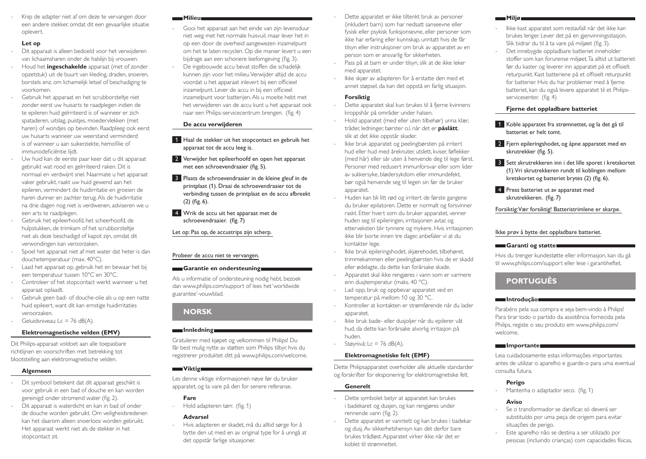Knip de adapter niet af om deze te vervangen door een andere stekker, omdat dit een gevaarlijke situatie oplevert.

#### **Let op**

- Dit apparaat is alleen bedoeld voor het verwijderen van lichaamsharen onder de halslijn bij vrouwen.
- Houd het **ingeschakelde** apparaat (met of zonder opzetstuk) uit de buurt van kleding, draden, snoeren, borstels enz. om lichamelijk letsel of beschadiging te voorkomen.
- Gebruik het apparaat en het scrubborsteltje niet zonder eerst uw huisarts te raadplegen indien de te epileren huid geïrriteerd is of wanneer er zich spataderen, uitslag, puistjes, moedervlekken (met haren) of wondjes op bevinden. Raadpleeg ook eerst uw huisarts wanneer uw weerstand verminderd is of wanneer u aan suikerziekte, hemofilie of immunodeficiëntie lijdt.
- Uw huid kan de eerste paar keer dat u dit apparaat gebruikt wat rood en geïrriteerd raken. Dit is normaal en verdwijnt snel. Naarmate u het apparaat vaker gebruikt, raakt uw huid gewend aan het epileren, vermindert de huidirritatie en groeien de haren dunner en zachter terug. Als de huidirritatie na drie dagen nog niet is verdwenen, adviseren we u een arts te raadplegen.
- Gebruik het epileerhoofd, het scheerhoofd, de hulpstukken, de trimkam of het scrubborsteltje niet als deze beschadigd of kapot zijn, omdat dit verwondingen kan veroorzaken.
- Spoel het apparaat niet af met water dat heter is dan douchetemperatuur (max. 40°C).
- Laad het apparaat op, gebruik het en bewaar het bij een temperatuur tussen 10°C en 30°C.
- Controleer of het stopcontact werkt wanneer u het apparaat oplaadt.
- Gebruik geen bad- of douche-olie als u op een natte huid epileert, want dit kan ernstige huidirritaties veroorzaken.
- Geluidsniveau: Lc = 76 dB(A).

#### **Elektromagnetische velden (EMV)**

Dit Philips-apparaat voldoet aan alle toepasbare richtlijnen en voorschriften met betrekking tot blootstelling aan elektromagnetische velden.

#### **Algemeen**

- Dit symbool betekent dat dit apparaat geschikt is voor gebruik in een bad of douche en kan worden gereinigd onder stromend water (fig. 2).
- Dit apparaat is waterdicht en kan in bad of onder de douche worden gebruikt. Om veiligheidsredenen kan het daarom alleen snoerloos worden gebruikt. Het apparaat werkt niet als de stekker in het stopcontact zit.
- Gooi het apparaat aan het einde van zijn levensduur niet weg met het normale huisvuil, maar lever het in op een door de overheid aangewezen inzamelpunt om het te laten recyclen. Op die manier levert u een bijdrage aan een schonere leefomgeving (fig. 3).
- De ingebouwde accu bevat stoffen die schadelijk kunnen zijn voor het milieu. Verwijder altijd de accu voordat u het apparaat inlevert bij een officieel inzamelpunt. Lever de accu in bij een officieel inzamelpunt voor batterijen. Als u moeite hebt met het verwijderen van de accu kunt u het apparaat ook naar een Philips-servicecentrum brengen. (fig. 4)

#### **De accu verwijderen**

**Milieu**

- 1 Haal de stekker uit het stopcontact en gebruik het apparaat tot de accu leeg is.
- 2 Verwijder het epileerhoofd en open het apparaat met een schroevendraaier (fig. 5).
- 3 Plaats de schroevendraaier in de kleine gleuf in de printplaat (1). Draai de schroevendraaier tot de verbinding tussen de printplaat en de accu afbreekt (2) (fig. 6).
- 4 Wrik de accu uit het apparaat met de schroevendraaier.  (fig. 7)

#### Let op: Pas op, de accustrips zijn scherp.

#### Probeer de accu niet te vervangen.

#### **Garantie en ondersteuning**

Als u informatie of ondersteuning nodig hebt, bezoek dan www.philips.com/support of lees het 'worldwide guarantee'-vouwblad.

# **Norsk**

#### **Innledning**

Gratulerer med kjøpet og velkommen til Philips! Du får best mulig nytte av støtten som Philips tilbyr, hvis du registrerer produktet ditt på www.philips.com/welcome.

#### **Viktig**

Les denne viktige informasjonen nøye før du bruker apparatet, og ta vare på den for senere referanse.

#### **Fare**

Hold adapteren tørr. (fig. 1)

#### **Advarsel**

- Hvis adapteren er skadet, må du alltid sørge for å bytte den ut med en av original type for å unngå at det oppstår farlige situasjoner.

- Dette apparatet er ikke tiltenkt bruk av personer (inkludert barn) som har nedsatt sanseevne eller fysisk eller psykisk funksjonsevne, eller personer som ikke har erfaring eller kunnskap, unntatt hvis de får tilsyn eller instruksjoner om bruk av apparatet av en person som er ansvarlig for sikkerheten.
- Pass på at barn er under tilsyn, slik at de ikke leker med apparatet.
- Ikke skjær av adapteren for å erstatte den med et annet støpsel, da kan det oppstå en farlig situasjon.

#### **Forsiktig**

- Dette apparatet skal kun brukes til å fjerne kvinnens kroppshår på områder under halsen.
- Hold apparatet (med eller uten tilbehør) unna klær, tråder, ledninger, børster o.l. når det er **påslått**, slik at det ikke oppstår skader.
- Ikke bruk apparatet og peelingbørsten på irritert hud eller hud med åreknuter, utslett, kviser, føflekker (med hår) eller sår uten å henvende deg til lege først. Personer med redusert immunforsvar eller som lider av sukkersyke, blødersykdom eller immundefekt, bør også henvende seg til legen sin før de bruker apparatet.
- Huden kan bli litt rød og irritert de første gangene du bruker epilatoren. Dette er normalt og forsvinner raskt. Etter hvert som du bruker apparatet, venner huden seg til epileringen, irritasjonen avtar, og etterveksten blir tynnere og mykere. Hvis irritasjonen ikke blir borte innen tre dager, anbefaler vi at du kontakter lege.
- Ikke bruk epileringshodet, skjærehodet, tilbehøret, trimmekammen eller peelingbørsten hvis de er skadd eller ødelagte, da dette kan forårsake skade.
- Apparatet skal ikke rengjøres i vann som er varmere enn dusjtemperatur (maks. 40 °C).
- Lad opp, bruk og oppbevar apparatet ved en temperatur på mellom 10 og 30 °C.
- Kontroller at kontakten er strømførende når du lader apparatet.
- Ikke bruk bade- eller dusjoljer når du epilerer våt hud, da dette kan forårsake alvorlig irritasjon på huden.

# Støynivå: Lc = 76 dB(A).

# **Elektromagnetiske felt (EMF)**

Dette Philipsapparatet overholder alle aktuelle standarder og forskrifter for eksponering for elektromagnetiske felt.

#### **Generelt**

- Dette symbolet betyr at apparatet kan brukes i badekaret og dusjen, og kan rengjøres under rennende vann (fig. 2).
- Dette apparatet er vanntett og kan brukes i badekar og dusj. Av sikkerhetshensyn kan det derfor bare brukes trådløst. Apparatet virker ikke når det er koblet til strømnettet.

#### **Miljø**

- Ikke kast apparatet som restavfall når det ikke kan brukes lenger. Lever det på en gjenvinningsstasjon. Slik bidrar du til å ta vare på miljøet (fig. 3).
- Det innebygde oppladbare batteriet inneholder stoffer som kan forurense miljøet. Ta alltid ut batteriet før du kaster og leverer inn apparatet på et offisielt returpunkt. Kast batteriene på et offisielt returpunkt for batterier. Hvis du har problemer med å fjerne batteriet, kan du også levere apparatet til et Philipsservicesenter. (fig. 4)

### **Fjerne det oppladbare batteriet**

- 1 Koble apparatet fra strømnettet, og la det gå til batteriet er helt tomt.
- 2 Fjern epileringshodet, og åpne apparatet med en skrutrekker (fig. 5).
- 3 Sett skrutrekkeren inn i det lille sporet i kretskortet (1). Vri skrutrekkeren rundt til koblingen mellom kretskortet og batteriet brytes (2) (fig. 6).
- **4** Press batteriet ut av apparatet med skrutrekkeren.  (fig. 7)

Forsiktig: Vær forsiktig! Batteristrimlene er skarpe.

# Ikke prøv å bytte det oppladbare batteriet.

#### **Garanti og støtte**

Hvis du trenger kundestøtte eller informasjon, kan du gå til www.philips.com/support eller lese i garantiheftet.

# **Português**

#### **Introdução**

Parabéns pela sua compra e seja bem-vindo à Philips! Para tirar todo o partido da assistência fornecida pela Philips, registe o seu produto em www.philips.com/ welcome.

#### **Importante**

Leia cuidadosamente estas informações importantes antes de utilizar o aparelho e guarde-o para uma eventual consulta futura.

# **Perigo**

Mantenha o adaptador seco. (fig. 1)

#### **Aviso**

- Se o transformador se danificar, só deverá ser substituído por uma peça de origem para evitar situações de perigo.
- Este aparelho não se destina a ser utilizado por pessoas (incluindo crianças) com capacidades físicas,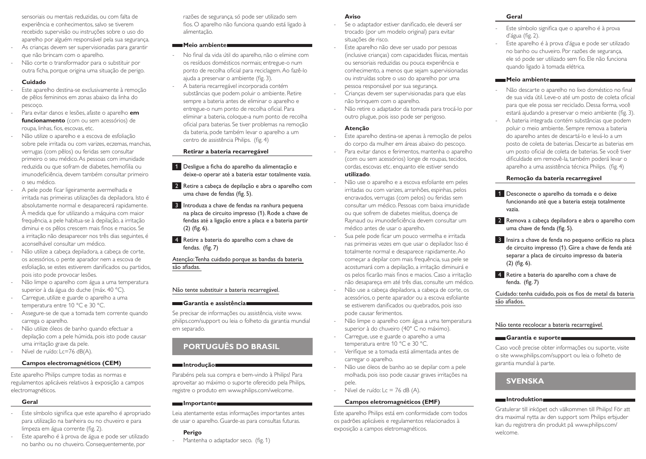sensoriais ou mentais reduzidas, ou com falta de experiência e conhecimentos, salvo se tiverem recebido supervisão ou instruções sobre o uso do aparelho por alguém responsável pela sua segurança. As crianças devem ser supervisionadas para garantir que não brincam com o aparelho.

- Não corte o transformador para o substituir por outra ficha, porque origina uma situação de perigo.

#### **Cuidado**

- Este aparelho destina-se exclusivamente à remoção de pêlos femininos em zonas abaixo da linha do pescoço.
- Para evitar danos e lesões, afaste o aparelho **em funcionamento** (com ou sem acessórios) de roupa, linhas, fios, escovas, etc.
- Não utilize o aparelho e a escova de esfoliação sobre pele irritada ou com varizes, eczemas, manchas, verrugas (com pêlos) ou feridas sem consultar primeiro o seu médico. As pessoas com imunidade reduzida ou que sofram de diabetes, hemofilia ou imunodeficiência, devem também consultar primeiro o seu médico.
- A pele pode ficar ligeiramente avermelhada e irritada nas primeiras utilizações da depiladora. Isto é absolutamente normal e desaparecerá rapidamente. À medida que for utilizando a máquina com maior frequência, a pele habitua-se à depilação, a irritação diminui e os pêlos crescem mais finos e macios. Se a irritação não desaparecer nos três dias seguintes, é aconselhável consultar um médico.
- Não utilize a cabeca depiladora, a cabeca de corte, os acessórios, o pente aparador nem a escova de esfoliação, se estes estiverem danificados ou partidos, pois isto pode provocar lesões.
- Não limpe o aparelho com água a uma temperatura superior à da água do duche (máx. 40 °C).
- Carregue, utilize e guarde o aparelho a uma temperatura entre 10 °C e 30 °C.
- Assegure-se de que a tomada tem corrente quando carrega o aparelho.
- Não utilize óleos de banho quando efectuar a depilação com a pele húmida, pois isto pode causar uma irritação grave da pele.
- Nível de ruído: Lc=76 dB(A).

#### **Campos electromagnéticos (CEM)**

Este aparelho Philips cumpre todas as normas e regulamentos aplicáveis relativos à exposição a campos electromagnéticos.

#### **Geral**

- Este símbolo significa que este aparelho é apropriado para utilização na banheira ou no chuveiro e para limpeza em água corrente (fig. 2).
- Este aparelho é à prova de água e pode ser utilizado no banho ou no chuveiro. Consequentemente, por

razões de segurança, só pode ser utilizado sem fios. O aparelho não funciona quando está ligado à alimentação.

#### **Meio ambiente**

- No final da vida útil do aparelho, não o elimine com os resíduos domésticos normais; entregue-o num ponto de recolha oficial para reciclagem. Ao fazê-lo ajuda a preservar o ambiente (fig. 3).
- A bateria recarregável incorporada contém substâncias que podem poluir o ambiente. Retire sempre a bateria antes de eliminar o aparelho e entregue-o num ponto de recolha oficial. Para eliminar a bateria, coloque-a num ponto de recolha oficial para baterias. Se tiver problemas na remoção da bateria, pode também levar o aparelho a um centro de assistência Philips. (fig. 4)

#### **Retirar a bateria recarregável**

- 1 Desligue a ficha do aparelho da alimentação e deixe-o operar até a bateria estar totalmente vazia.
- 2 Retire a cabeça de depilação e abra o aparelho com uma chave de fendas (fig. 5).
- 3 Introduza a chave de fendas na ranhura pequena na placa de circuito impresso (1). Rode a chave de fendas até a ligação entre a placa e a bateria partir (2) (fig. 6).
- 4 Retire a bateria do aparelho com a chave de fendas.  (fig. 7)

### Atenção: Tenha cuidado porque as bandas da bateria são afiadas.

#### Não tente substituir a bateria recarregável.

#### **Garantia e assistência**

Se precisar de informações ou assistência, visite www. philips.com/support ou leia o folheto da garantia mundial em separado.

# **Português do Brasil**

#### **Introdução**

Parabéns pela sua compra e bem-vindo à Philips! Para aproveitar ao máximo o suporte oferecido pela Philips, registre o produto em www.philips.com/welcome.

### **Importante**

Leia atentamente estas informações importantes antes de usar o aparelho. Guarde-as para consultas futuras.

# **Perigo**

Mantenha o adaptador seco. (fig. 1)

#### **Aviso**

- Se o adaptador estiver danificado, ele deverá ser trocado (por um modelo original) para evitar situações de risco.
- Este aparelho não deve ser usado por pessoas (inclusive crianças) com capacidades físicas, mentais ou sensoriais reduzidas ou pouca experiência e conhecimento, a menos que sejam supervisionadas ou instruídas sobre o uso do aparelho por uma pessoa responsável por sua segurança.
- Crianças devem ser supervisionadas para que elas não brinquem com o aparelho.
- Não retire o adaptador da tomada para trocá-lo por outro plugue, pois isso pode ser perigoso.

#### **Atenção**

- Este aparelho destina-se apenas à remoção de pelos do corpo da mulher em áreas abaixo do pescoço.
- Para evitar danos e ferimentos, mantenha o aparelho (com ou sem acessórios) longe de roupas, tecidos, cordas, escovas etc. enquanto ele estiver sendo **utilizado**.

- Não use o aparelho e a escova esfoliante em peles irritadas ou com varizes, arranhões, espinhas, pelos encravados, verrugas (com pelos) ou feridas sem consultar um médico. Pessoas com baixa imunidade ou que sofrem de diabetes mielitus, doença de Raynaud ou imunodeficiência devem consultar um médico antes de usar o aparelho.
- Sua pele pode ficar um pouco vermelha e irritada nas primeiras vezes em que usar o depilador. Isso é totalmente normal e desaparece rapidamente. Ao começar a depilar com mais frequência, sua pele se acostumará com a depilação, a irritação diminuirá e os pelos ficarão mais finos e macios. Caso a irritação não desapareça em até três dias, consulte um médico.
- Não use a cabeça depiladora, a cabeça de corte, os acessórios, o pente aparador ou a escova esfoliante se estiverem danificados ou quebrados, pois isso pode causar ferimentos.
- Não limpe o aparelho com água a uma temperatura superior à do chuveiro (40° C no máximo).
- Carregue, use e guarde o aparelho a uma temperatura entre 10 °C e 30 °C.
- Verifique se a tomada está alimentada antes de carregar o aparelho.
- Não use óleos de banho ao se depilar com a pele molhada, pois isso pode causar graves irritações na pele.
- Nível de ruído: Lc = 76 dB (A).

#### **Campos eletromagnéticos (EMF)**

Este aparelho Philips está em conformidade com todos os padrões aplicáveis e regulamentos relacionados à exposição a campos eletromagnéticos.

#### **Geral**

- Este símbolo significa que o aparelho é à prova d'água (fig. 2).
- Este aparelho é à prova d'água e pode ser utilizado no banho ou chuveiro. Por razões de segurança, ele só pode ser utilizado sem fio. Ele não funciona quando ligado à tomada elétrica.

#### **Meio ambiente**

- Não descarte o aparelho no lixo doméstico no final de sua vida útil. Leve-o até um posto de coleta oficial para que ele possa ser reciclado. Dessa forma, você estará ajudando a preservar o meio ambiente (fig. 3).
- A bateria integrada contém substâncias que podem poluir o meio ambiente. Sempre remova a bateria do aparelho antes de descartá-lo e levá-lo a um posto de coleta de baterias. Descarte as baterias em um posto oficial de coleta de baterias. Se você tiver dificuldade em removê-la, também poderá levar o aparelho a uma assistência técnica Philips. (fig. 4)

#### **Remoção da bateria recarregável**

- 1 Desconecte o aparelho da tomada e o deixe funcionando até que a bateria esteja totalmente vazia.
- 2 Remova a cabeça depiladora e abra o aparelho com uma chave de fenda (fig. 5).
- 3 Insira a chave de fenda no pequeno orifício na placa de circuito impresso (1). Gire a chave de fenda até separar a placa de circuito impresso da bateria (2) (fig. 6).
- 4 Retire a bateria do aparelho com a chave de fenda.  (fig. 7)

Cuidado: tenha cuidado, pois os fios de metal da bateria são afiados.

#### Não tente recolocar a bateria recarregável.

#### **Garantia e suporte**

Caso você precise obter informações ou suporte, visite o site www.philips.com/support ou leia o folheto de garantia mundial à parte.

# **Svenska**

#### **Introduktion**

Gratulerar till inköpet och välkommen till Philips! För att dra maximal nytta av den support som Philips erbjuder kan du registrera din produkt på www.philips.com/ welcome.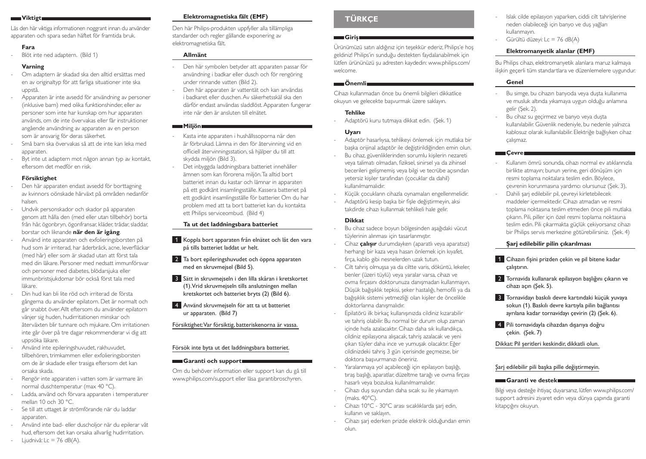#### **Viktigt**

Läs den här viktiga informationen noggrant innan du använder apparaten och spara sedan häftet för framtida bruk.

#### **Fara**

Blöt inte ned adaptern. (Bild 1)

#### **Varning**

- Om adaptern är skadad ska den alltid ersättas med en av originaltyp för att farliga situationer inte ska uppstå.
- Apparaten är inte avsedd för användning av personer (inklusive barn) med olika funktionshinder, eller av personer som inte har kunskap om hur apparaten används, om de inte övervakas eller får instruktioner angående användning av apparaten av en person som är ansvarig för deras säkerhet.
- Små barn ska övervakas så att de inte kan leka med apparaten.
- Byt inte ut adaptern mot någon annan typ av kontakt, eftersom det medför en risk.

### **Försiktighet**

- Den här apparaten endast avsedd för borttagning av kvinnors oönskade hårväxt på områden nedanför halsen.
- Undvik personskador och skador på apparaten genom att hålla den (med eller utan tillbehör) borta från hår, ögonbryn, ögonfransar, kläder, trådar, sladdar, borstar och liknande **när den är igång**.
- Använd inte apparaten och exfolieringsborsten på hud som är irriterad, har åderbråck, acne, leverfläckar (med hår) eller som är skadad utan att först tala med din läkare. Personer med nedsatt immunförsvar och personer med diabetes, blödarsjuka eller immunbristsjukdomar bör också först tala med läkare.
- Din hud kan bli lite röd och irriterad de första gångerna du använder epilatorn. Det är normalt och går snabbt över. Allt eftersom du använder epilatorn vänjer sig huden, hudirritationen minskar och återväxten blir tunnare och mjukare. Om irritationen inte går över på tre dagar rekommenderar vi dig att uppsöka läkare.
- Använd inte epileringshuvudet, rakhuvudet, tillbehören, trimkammen eller exfolieringsborsten om de är skadade eller trasiga eftersom det kan orsaka skada.
- Rengör inte apparaten i vatten som är varmare än normal duschtemperatur (max 40 °C).
- Ladda, använd och förvara apparaten i temperaturer mellan 10 och 30 °C.
- Se till att uttaget är strömförande när du laddar apparaten.
- Använd inte bad- eller duscholjor när du epilerar våt hud, eftersom det kan orsaka allvarlig hudirritation.  $\exists$  Ljudnivå: Lc = 76 dB(A).

# **Elektromagnetiska fält (EMF)**

Den här Philips-produkten uppfyller alla tillämpliga standarder och regler gällande exponering av elektromagnetiska fält.

# **Allmänt**

- Den här symbolen betyder att apparaten passar för användning i badkar eller dusch och för rengöring under rinnande vatten (Bild 2).
- Den här apparaten är vattentät och kan användas i badkaret eller duschen. Av säkerhetsskäl ska den därför endast användas sladdlöst. Apparaten fungerar inte när den är ansluten till elnätet.

# **Miljön**

- Kasta inte apparaten i hushållssoporna när den är förbrukad. Lämna in den för återvinning vid en officiell återvinningsstation, så hjälper du till att skydda miljön (Bild 3).
- Det inbyggda laddningsbara batteriet innehåller ämnen som kan förorena miljön. Ta alltid bort batteriet innan du kastar och lämnar in apparaten på ett godkänt insamlingsställe. Kassera batteriet på ett godkänt insamlingsställe för batterier. Om du har problem med att ta bort batteriet kan du kontakta ett Philips serviceombud. (Bild 4)

# **Ta ut det laddningsbara batteriet**

- 1 Koppla bort apparaten från elnätet och låt den vara på tills batteriet laddat ur helt.
- **2** Ta bort epileringshuvudet och öppna apparaten med en skruvmejsel (Bild 5).
- 3 Sätt in skruvmejseln i den lilla skåran i kretskortet (1). Vrid skruvmejseln tills anslutningen mellan kretskortet och batteriet bryts (2) (Bild 6).
- 4 Använd skruvmejseln för att ta ut batteriet ur apparaten. (Bild 7)

# Försiktighet: Var försiktig, batteriskenorna är vassa.

# Försök inte byta ut det laddningsbara batteriet.

#### **Garanti och support**

Om du behöver information eller support kan du gå till www.philips.com/support eller läsa garantibroschyren.

# **Türkçe**

### **Giriş**

Ürünümüzü satın aldığınız için teşekkür ederiz, Philips'e hoş geldiniz! Philips'in sunduğu destekten faydalanabilmek için lütfen ürününüzü şu adresten kaydedin: www.philips.com/ welcome.

### **Önemli**

Cihazı kullanmadan önce bu önemli bilgileri dikkatlice okuyun ve gelecekte başvurmak üzere saklayın.

# **Tehlike**

- Adaptörü kuru tutmaya dikkat edin. (Şek. 1)

# **Uyarı**

- Adaptör hasarlıysa, tehlikeyi önlemek için mutlaka bir başka orijinal adaptör ile değiştirildiğinden emin olun.
- Bu cihaz, güvenliklerinden sorumlu kişilerin nezareti veya talimatı olmadan, fiziksel, sinirsel ya da zihinsel becerileri gelişmemiş veya bilgi ve tecrübe açısından yetersiz kişiler tarafından (çocuklar da dahil) kullanılmamalıdır.
- Küçük çocukların cihazla oynamaları engellenmelidir.
	- Adaptörü kesip başka bir fişle değiştirmeyin, aksi takdirde cihazı kullanmak tehlikeli hale gelir.

#### **Dikkat**

- Bu cihaz sadece boyun bölgesinden aşağıdaki vücut tüylerinin alınması için tasarlanmıştır.
- Cihaz **çalışır** durumdayken (aparatlı veya aparatsız) herhangi bir kaza veya hasarı önlemek için kıyafet, fırça, kablo gibi nesnelerden uzak tutun.
- Cilt tahriş olmuşsa ya da ciltte varis, döküntü, lekeler, benler (üzeri tüylü) veya yaralar varsa, cihazı ve ovma fırçasını doktorunuza danışmadan kullanmayın. Düşük bağışıklık tepkisi, şeker hastalığı, hemofili ya da bağışıklık sistemi yetmezliği olan kişiler de öncelikle doktorlarına danışmalıdır.
- Epilatörü ilk birkaç kullanışınızda cildiniz kızarabilir ve tahriş olabilir. Bu normal bir durum olup zaman içinde hızla azalacaktır. Cihazı daha sık kullandıkça, cildiniz epilasyona alışacak, tahriş azalacak ve yeni çıkan tüyler daha ince ve yumuşak olacaktır. Eğer cildinizdeki tahriş 3 gün içerisinde geçmezse, bir doktora başvurmanızı öneririz.
- Yaralanmaya yol açabileceği için epilasyon başlığı, tıraş başlığı, aparatlar, düzeltme tarağı ve ovma fırçası hasarlı veya bozuksa kullanılmamalıdır.
- Cihazı duş suyundan daha sıcak su ile yıkamayın (maks. 40°C).
- Cihazı 10°C 30°C arası sıcaklıklarda şarj edin, kullanın ve saklayın.
- Cihazı şarj ederken prizde elektrik olduğundan emin olun.
- Islak cilde epilasyon yaparken, ciddi cilt tahrişlerine neden olabileceği için banyo ve duş yağları kullanmayın.
- Gürültü düzeyi: Lc = 76 dB(A)

# **Elektromanyetik alanlar (EMF)**

Bu Philips cihazı, elektromanyetik alanlara maruz kalmaya ilişkin geçerli tüm standartlara ve düzenlemelere uygundur.

# **Genel**

- Bu simge, bu cihazın banyoda veya duşta kullanıma ve musluk altında yıkamaya uygun olduğu anlamına gelir (Şek. 2).
- Bu cihaz su geçirmez ve banyo veya duşta kullanılabilir. Güvenlik nedeniyle, bu nedenle yalnızca kablosuz olarak kullanılabilir. Elektriğe bağlıyken cihaz çalışmaz.

# **Cevre**

- Kullanım ömrü sonunda, cihazı normal ev atıklarınızla birlikte atmayın; bunun yerine, geri dönüşüm için resmi toplama noktalara teslim edin. Böylece, çevrenin korunmasına yardımcı olursunuz (Şek. 3).
- Dahili şarj edilebilir pil, çevreyi kirletebilecek maddeler içermektedir. Cihazı atmadan ve resmi toplama noktasına teslim etmeden önce pili mutlaka çıkarın. Pili, piller için özel resmi toplama noktasına teslim edin. Pili çıkarmakta güçlük çekiyorsanız cihazı bir Philips servis merkezine götürebilirsiniz. (Şek. 4)

# **Şarj edilebilir pilin çıkarılması**

- 1 Cihazın fisini prizden çekin ve pil bitene kadar çalıştırın.
- 2 Tornavida kullanarak epilasyon başlığını çıkarın ve cihazı açın (Şek. 5).
- 3 Tornavidayı baskılı devre kartındaki küçük yuvaya sokun (1). Baskılı devre kartıyla pilin bağlantısı ayrılana kadar tornavidayı çevirin (2) (Şek. 6).
- 4 Pili tornavidayla cihazdan dışarıya doğru çekin.  (Şek. 7)

Dikkat: Pil şeritleri keskindir, dikkatli olun.

# Şarj edilebilir pili başka pille değiştirmeyin.

# **Garanti ve destek**

Bilgi veya desteğe ihtiyaç duyarsanız, lütfen www.philips.com/ support adresini ziyaret edin veya dünya çapında garanti kitapçığını okuyun.